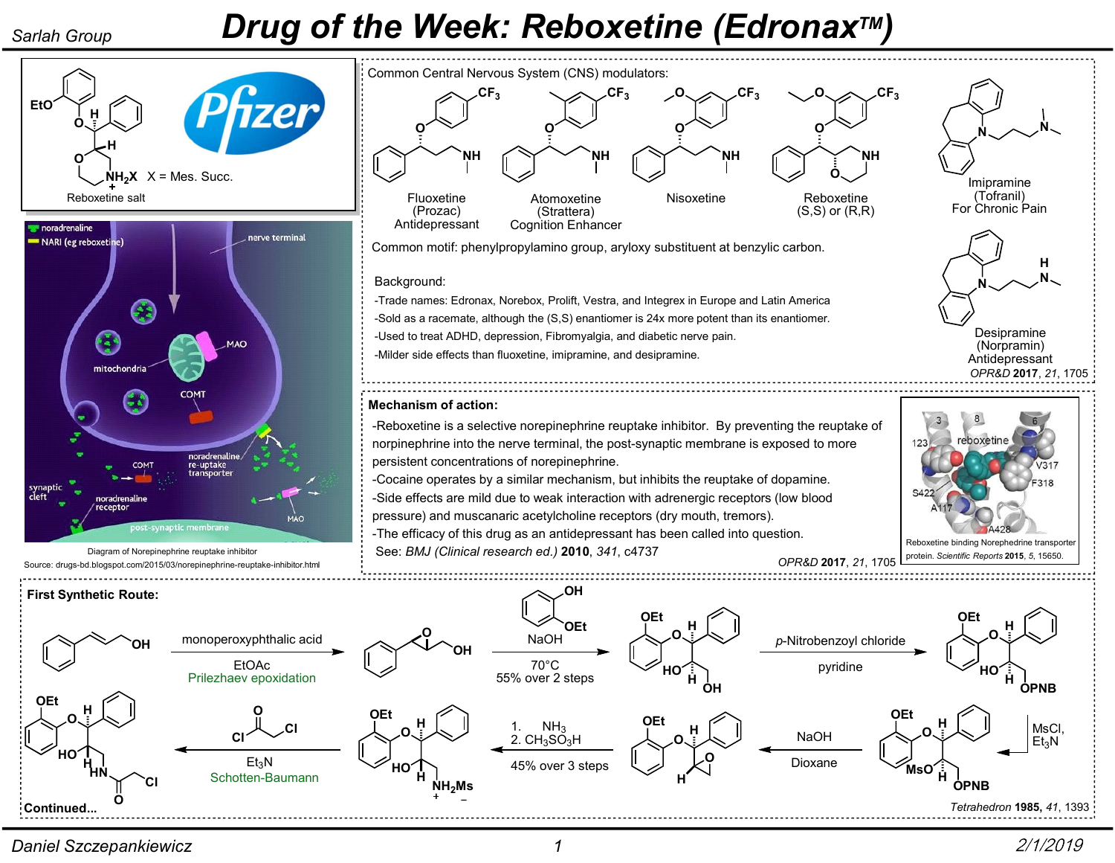## Sarlah Group **Drug of the Week: Reboxetine (Edronax<sup>™)</sup>**



Daniel Szczepankiewicz 1